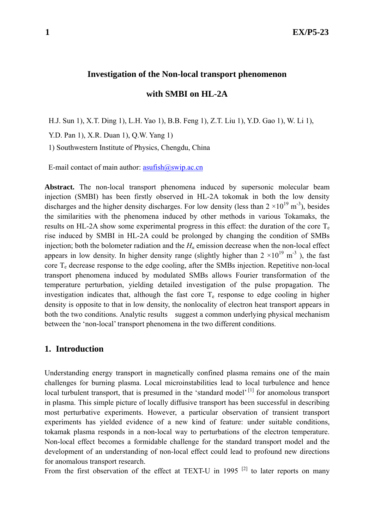#### **Investigation of the Non-local transport phenomenon**

**with SMBI on HL-2A** 

H.J. Sun 1), X.T. Ding 1), L.H. Yao 1), B.B. Feng 1), Z.T. Liu 1), Y.D. Gao 1), W. Li 1),

Y.D. Pan 1), X.R. Duan 1), Q.W. Yang 1)

1) Southwestern Institute of Physics, Chengdu, China

E-mail contact of main author:  $\frac{asufish(@swp.ac.cn}{@swp.ac.cn}$ 

**Abstract.** The non-local transport phenomena induced by supersonic molecular beam injection (SMBI) has been firstly observed in HL-2A tokomak in both the low density discharges and the higher density discharges. For low density (less than  $2 \times 10^{19}$  m<sup>-3</sup>), besides the similarities with the phenomena induced by other methods in various Tokamaks, the results on HL-2A show some experimental progress in this effect: the duration of the core  $T_e$ rise induced by SMBI in HL-2A could be prolonged by changing the condition of SMBs injection; both the bolometer radiation and the  $H_a$  emission decrease when the non-local effect appears in low density. In higher density range (slightly higher than  $2 \times 10^{19}$  m<sup>-3</sup>), the fast core  $T_e$  decrease response to the edge cooling, after the SMBs injection. Repetitive non-local transport phenomena induced by modulated SMBs allows Fourier transformation of the temperature perturbation, yielding detailed investigation of the pulse propagation. The investigation indicates that, although the fast core  $T_e$  response to edge cooling in higher density is opposite to that in low density, the nonlocality of electron heat transport appears in both the two conditions. Analytic results suggest a common underlying physical mechanism between the 'non-local' transport phenomena in the two different conditions.

## **1. Introduction**

Understanding energy transport in magnetically confined plasma remains one of the main challenges for burning plasma. Local microinstabilities lead to local turbulence and hence local turbulent transport, that is presumed in the 'standard model'<sup>[1]</sup> for anomolous transport in plasma. This simple picture of locally diffusive transport has been successful in describing most perturbative experiments. However, a particular observation of transient transport experiments has yielded evidence of a new kind of feature: under suitable conditions, tokamak plasma responds in a non-local way to perturbations of the electron temperature. Non-local effect becomes a formidable challenge for the standard transport model and the development of an understanding of non-local effect could lead to profound new directions for anomalous transport research.

From the first observation of the effect at TEXT-U in 1995<sup>[2]</sup> to later reports on many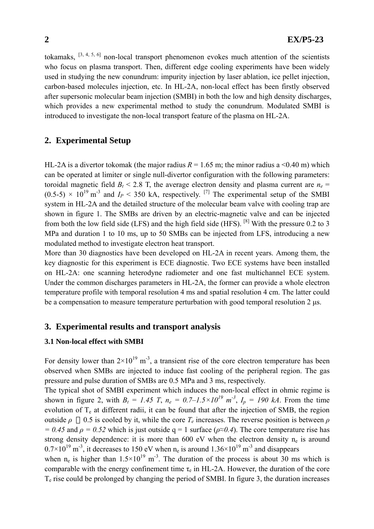tokamaks,  $[3, 4, 5, 6]$  non-local transport phenomenon evokes much attention of the scientists who focus on plasma transport. Then, different edge cooling experiments have been widely used in studying the new conundrum: impurity injection by laser ablation, ice pellet injection, carbon-based molecules injection, etc. In HL-2A, non-local effect has been firstly observed after supersonic molecular beam injection (SMBI) in both the low and high density discharges, which provides a new experimental method to study the conundrum. Modulated SMBI is introduced to investigate the non-local transport feature of the plasma on HL-2A.

## **2. Experimental Setup**

HL-2A is a divertor tokomak (the major radius  $R = 1.65$  m; the minor radius a <0.40 m) which can be operated at limiter or single null-divertor configuration with the following parameters: toroidal magnetic field  $B_t$  < 2.8 T, the average electron density and plasma current are  $n_e$  =  $(0.5-5) \times 10^{19}$  m<sup>-3</sup> and  $I_P < 350$  kA, respectively. <sup>[7]</sup> The experimental setup of the SMBI system in HL-2A and the detailed structure of the molecular beam valve with cooling trap are shown in figure 1. The SMBs are driven by an electric-magnetic valve and can be injected from both the low field side (LFS) and the high field side (HFS). [8] With the pressure 0.2 to 3 MPa and duration 1 to 10 ms, up to 50 SMBs can be injected from LFS, introducing a new modulated method to investigate electron heat transport.

More than 30 diagnostics have been developed on HL-2A in recent years. Among them, the key diagnostic for this experiment is ECE diagnostic. Two ECE systems have been installed on HL-2A: one scanning heterodyne radiometer and one fast multichannel ECE system. Under the common discharges parameters in HL-2A, the former can provide a whole electron temperature profile with temporal resolution 4 ms and spatial resolution 4 cm. The latter could be a compensation to measure temperature perturbation with good temporal resolution 2 µs.

## **3. Experimental results and transport analysis**

### **3.1 Non-local effect with SMBI**

For density lower than  $2\times10^{19}$  m<sup>-3</sup>, a transient rise of the core electron temperature has been observed when SMBs are injected to induce fast cooling of the peripheral region. The gas pressure and pulse duration of SMBs are 0.5 MPa and 3 ms, respectively.

The typical shot of SMBI experiment which induces the non-local effect in ohmic regime is shown in figure 2, with  $B_t = 1.45$  T,  $n_e = 0.7 - 1.5 \times 10^{19}$   $m^{-3}$ ,  $I_p = 190$  kA. From the time evolution of  $T<sub>e</sub>$  at different radii, it can be found that after the injection of SMB, the region outside *ρ* 0.5 is cooled by it, while the core  $T_e$  increases. The reverse position is between *ρ*  $= 0.45$  and  $\rho = 0.52$  which is just outside q = 1 surface ( $\rho \approx 0.4$ ). The core temperature rise has strong density dependence: it is more than 600 eV when the electron density  $n_e$  is around  $0.7\times10^{19}$  m<sup>-3</sup>, it decreases to 150 eV when n<sub>e</sub> is around  $1.36\times10^{19}$  m<sup>-3</sup> and disappears

when  $n_e$  is higher than  $1.5 \times 10^{19}$  m<sup>-3</sup>. The duration of the process is about 30 ms which is comparable with the energy confinement time  $\tau_e$  in HL-2A. However, the duration of the core  $T<sub>e</sub>$  rise could be prolonged by changing the period of SMBI. In figure 3, the duration increases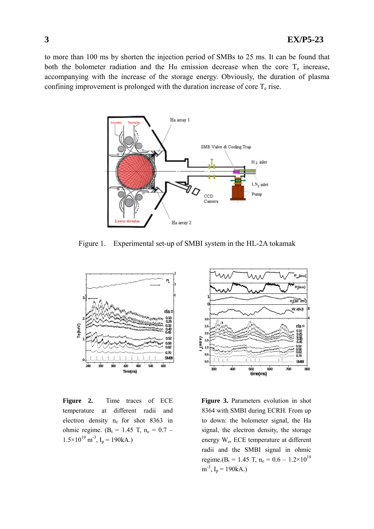to more than 100 ms by shorten the injection period of SMBs to 25 ms. It can be found that both the bolometer radiation and the H $\alpha$  emission decrease when the core T<sub>e</sub> increase, accompanying with the increase of the storage energy. Obviously, the duration of plasma confining improvement is prolonged with the duration increase of core  $T_e$  rise.



Figure 1. Experimental set-up of SMBI system in the HL-2A tokamak



**Figure 2.** Time traces of ECE temperature at different radii and electron density ne for shot 8363 in ohmic regime. ( $B_t = 1.45$  T,  $n_e = 0.7$  –  $1.5 \times 10^{19}$  m<sup>-3</sup>, I<sub>p</sub> = 190kA.)



**Figure 3.** Parameters evolution in shot 8364 with SMBI during ECRH. From up to down: the bolometer signal, the Ha signal, the electron density, the storage energy We, ECE temperature at different radii and the SMBI signal in ohmic regime.( $B_t = 1.45$  T,  $n_e = 0.6 - 1.2 \times 10^{19}$  $m^{-3}$ , I<sub>p</sub> = 190kA.)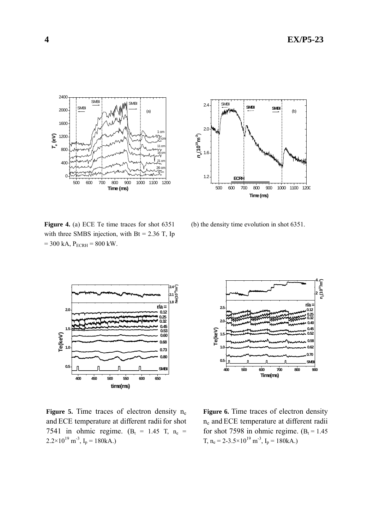



**Figure 4.** (a) ECE Te time traces for shot 6351 with three SMBS injection, with  $Bt = 2.36$  T, Ip  $= 300$  kA,  $P_{ECRH} = 800$  kW.

(b) the density time evolution in shot 6351.



Figure 5. Time traces of electron density n<sub>e</sub> and ECE temperature at different radii for shot 7541 in ohmic regime. ( $B_t$  = 1.45 T,  $n_e$  =  $2.2 \times 10^{19}$  m<sup>-3</sup>, I<sub>p</sub> = 180kA.)



**Figure 6.** Time traces of electron density ne and ECE temperature at different radii for shot 7598 in ohmic regime.  $(B<sub>t</sub> = 1.45$ T,  $n_e = 2 - 3.5 \times 10^{19}$  m<sup>-3</sup>, I<sub>p</sub> = 180kA.)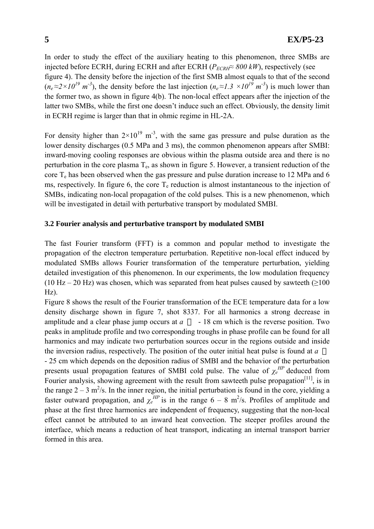In order to study the effect of the auxiliary heating to this phenomenon, three SMBs are injected before ECRH, during ECRH and after ECRH ( $P_{ECRH} \approx 800 \, \text{kW}$ ), respectively (see figure 4). The density before the injection of the first SMB almost equals to that of the second  $(n_e \approx 2 \times 10^{19} \text{ m}^3)$ , the density before the last injection  $(n_e \approx 1.3 \times 10^{19} \text{ m}^3)$  is much lower than the former two, as shown in figure 4(b). The non-local effect appears after the injection of the latter two SMBs, while the first one doesn't induce such an effect. Obviously, the density limit in ECRH regime is larger than that in ohmic regime in HL-2A.

For density higher than  $2\times10^{19}$  m<sup>-3</sup>, with the same gas pressure and pulse duration as the lower density discharges (0.5 MPa and 3 ms), the common phenomenon appears after SMBI: inward-moving cooling responses are obvious within the plasma outside area and there is no perturbation in the core plasma  $T<sub>e</sub>$ , as shown in figure 5. However, a transient reduction of the core  $T_e$  has been observed when the gas pressure and pulse duration increase to 12 MPa and 6 ms, respectively. In figure 6, the core  $T_e$  reduction is almost instantaneous to the injection of SMBs, indicating non-local propagation of the cold pulses. This is a new phenomenon, which will be investigated in detail with perturbative transport by modulated SMBI.

### **3.2 Fourier analysis and perturbative transport by modulated SMBI**

The fast Fourier transform (FFT) is a common and popular method to investigate the propagation of the electron temperature perturbation. Repetitive non-local effect induced by modulated SMBs allows Fourier transformation of the temperature perturbation, yielding detailed investigation of this phenomenon. In our experiments, the low modulation frequency (10 Hz – 20 Hz) was chosen, which was separated from heat pulses caused by sawteeth ( $\geq$ 100  $Hz$ ).

Figure 8 shows the result of the Fourier transformation of the ECE temperature data for a low density discharge shown in figure 7, shot 8337. For all harmonics a strong decrease in amplitude and a clear phase jump occurs at  $a - 18$  cm which is the reverse position. Two peaks in amplitude profile and two corresponding troughs in phase profile can be found for all harmonics and may indicate two perturbation sources occur in the regions outside and inside the inversion radius, respectively. The position of the outer initial heat pulse is found at *a*

- 25 cm which depends on the deposition radius of SMBI and the behavior of the perturbation presents usual propagation features of SMBI cold pulse. The value of  $\chi_e^{HP}$  deduced from Fourier analysis, showing agreement with the result from sawteeth pulse propagation<sup>[11]</sup>, is in the range  $2 - 3$  m<sup>2</sup>/s. In the inner region, the initial perturbation is found in the core, yielding a faster outward propagation, and  $\chi_e^{HP}$  is in the range 6 – 8 m<sup>2</sup>/s. Profiles of amplitude and phase at the first three harmonics are independent of frequency, suggesting that the non-local effect cannot be attributed to an inward heat convection. The steeper profiles around the interface, which means a reduction of heat transport, indicating an internal transport barrier formed in this area.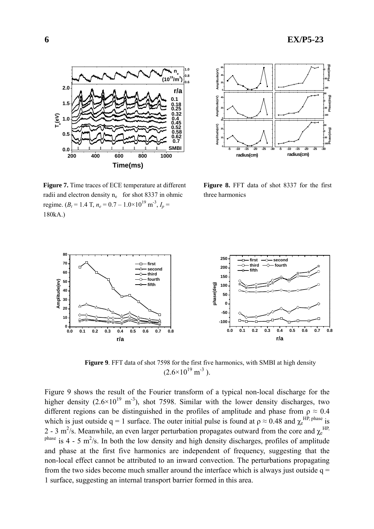**-5 -10 -15 -20 -25 -30**

**radius(cm)**

**-160 -80 0 80**

**-160 -80 0**

**-160 -80 0 80**

**Phase(deg) Phase(deg) Phase(deg)**



**Figure 7.** Time traces of ECE temperature at different radii and electron density n<sub>e</sub> for shot 8337 in ohmic regime. ( $B_t = 1.4$  T,  $n_e = 0.7 - 1.0 \times 10^{19}$  m<sup>-3</sup>,  $I_p =$ 180kA.)

**Figure 8.** FFT data of shot 8337 for the first three harmonics

**-5 -10 -15 -20 -25 -30 <sup>0</sup>**

**radius(cm)**

**Amplitude(eV)**

**Amplitude(eV)**

Amplitude(eV)

**0 20 40**

**10 20 30**

**Amplitude(eV)**

Implitude(eV)



 **Figure 9**. FFT data of shot 7598 for the first five harmonics, with SMBI at high density  $(2.6\times10^{19} \text{ m}^{-3})$ .

Figure 9 shows the result of the Fourier transform of a typical non-local discharge for the higher density  $(2.6\times10^{19} \text{ m}^3)$ , shot 7598. Similar with the lower density discharges, two different regions can be distinguished in the profiles of amplitude and phase from  $\rho \approx 0.4$ which is just outside  $q = 1$  surface. The outer initial pulse is found at  $\rho \approx 0.48$  and  $\chi_e^{HP, phase}$  is 2 - 3 m<sup>2</sup>/s. Meanwhile, an even larger perturbation propagates outward from the core and  $\chi_e^{\text{HP}}$ <sup>phase</sup> is 4 - 5 m<sup>2</sup>/s. In both the low density and high density discharges, profiles of amplitude and phase at the first five harmonics are independent of frequency, suggesting that the non-local effect cannot be attributed to an inward convection. The perturbations propagating from the two sides become much smaller around the interface which is always just outside  $q =$ 1 surface, suggesting an internal transport barrier formed in this area.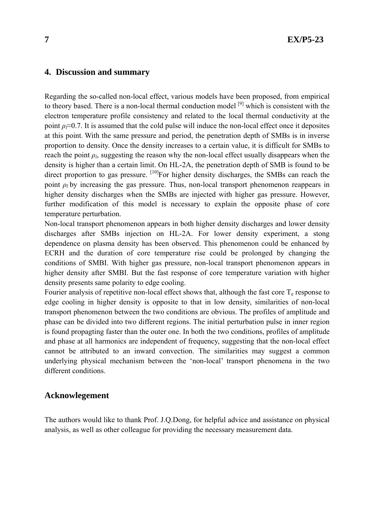# **4. Discussion and summary**

Regarding the so-called non-local effect, various models have been proposed, from empirical to theory based. There is a non-local thermal conduction model <sup>[9]</sup> which is consistent with the electron temperature profile consistency and related to the local thermal conductivity at the point  $\rho \approx 0.7$ . It is assumed that the cold pulse will induce the non-local effect once it deposites at this point. With the same pressure and period, the penetration depth of SMBs is in inverse proportion to density. Once the density increases to a certain value, it is difficult for SMBs to reach the point  $\rho_l$ , suggesting the reason why the non-local effect usually disappears when the density is higher than a certain limit. On HL-2A, the penetration depth of SMB is found to be direct proportion to gas pressure. <sup>[10]</sup>For higher density discharges, the SMBs can reach the point *ρ<sup>l</sup>* by increasing the gas pressure. Thus, non-local transport phenomenon reappears in higher density discharges when the SMBs are injected with higher gas pressure. However, further modification of this model is necessary to explain the opposite phase of core temperature perturbation.

Non-local transport phenomenon appears in both higher density discharges and lower density discharges after SMBs injection on HL-2A. For lower density experiment, a stong dependence on plasma density has been observed. This phenomenon could be enhanced by ECRH and the duration of core temperature rise could be prolonged by changing the conditions of SMBI. With higher gas pressure, non-local transport phenomenon appears in higher density after SMBI. But the fast response of core temperature variation with higher density presents same polarity to edge cooling.

Fourier analysis of repetitive non-local effect shows that, although the fast core  $T<sub>e</sub>$  response to edge cooling in higher density is opposite to that in low density, similarities of non-local transport phenomenon between the two conditions are obvious. The profiles of amplitude and phase can be divided into two different regions. The initial perturbation pulse in inner region is found propagting faster than the outer one. In both the two conditions, profiles of amplitude and phase at all harmonics are independent of frequency, suggesting that the non-local effect cannot be attributed to an inward convection. The similarities may suggest a common underlying physical mechanism between the 'non-local' transport phenomena in the two different conditions.

### **Acknowlegement**

The authors would like to thank Prof. J.Q.Dong, for helpful advice and assistance on physical analysis, as well as other colleague for providing the necessary measurement data.